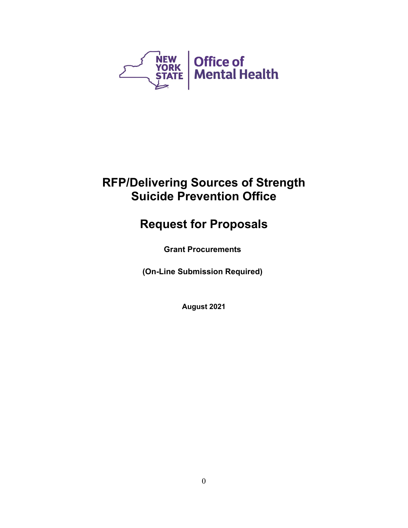

# **RFP/Delivering Sources of Strength Suicide Prevention Office**

# **Request for Proposals**

**Grant Procurements**

**(On-Line Submission Required)**

**August 2021**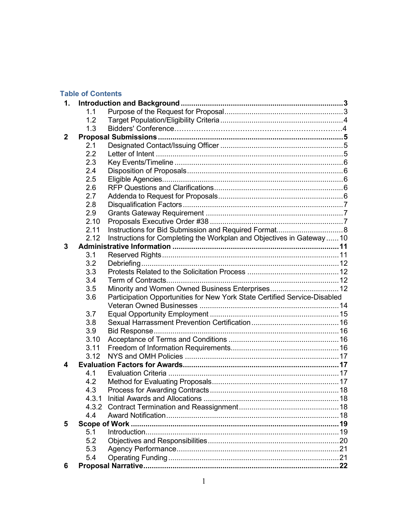# **Table of Contents**

| 1.           |                |                                                                           |  |  |  |
|--------------|----------------|---------------------------------------------------------------------------|--|--|--|
|              | 1 <sub>1</sub> |                                                                           |  |  |  |
|              | 1.2            |                                                                           |  |  |  |
|              | 1.3            |                                                                           |  |  |  |
| $\mathbf{2}$ |                |                                                                           |  |  |  |
|              | 2.1            |                                                                           |  |  |  |
|              | 2.2            |                                                                           |  |  |  |
|              | 2.3            |                                                                           |  |  |  |
|              | 2.4            |                                                                           |  |  |  |
|              | 2.5            |                                                                           |  |  |  |
|              | 2.6            |                                                                           |  |  |  |
|              | 2.7            |                                                                           |  |  |  |
|              | 2.8            |                                                                           |  |  |  |
|              | 2.9            |                                                                           |  |  |  |
|              | 2.10           |                                                                           |  |  |  |
|              | 2.11           |                                                                           |  |  |  |
|              | 2.12           | Instructions for Completing the Workplan and Objectives in Gateway  10    |  |  |  |
| 3            |                |                                                                           |  |  |  |
|              | 3.1            |                                                                           |  |  |  |
|              | 3.2            |                                                                           |  |  |  |
|              | 3.3            |                                                                           |  |  |  |
|              | 3.4            |                                                                           |  |  |  |
|              | 3.5            | Minority and Women Owned Business Enterprises 12                          |  |  |  |
|              | 3.6            | Participation Opportunities for New York State Certified Service-Disabled |  |  |  |
|              |                |                                                                           |  |  |  |
|              | 3.7            |                                                                           |  |  |  |
|              | 3.8            |                                                                           |  |  |  |
|              | 3.9            |                                                                           |  |  |  |
|              | 3.10           |                                                                           |  |  |  |
|              | 3.11           |                                                                           |  |  |  |
|              | 3.12           |                                                                           |  |  |  |
| 4            |                |                                                                           |  |  |  |
|              | 4.1            |                                                                           |  |  |  |
|              | 4.2            |                                                                           |  |  |  |
|              | 4.3            |                                                                           |  |  |  |
|              |                |                                                                           |  |  |  |
|              |                |                                                                           |  |  |  |
|              | 4.4            |                                                                           |  |  |  |
| 5            |                | <b>Scope of Work.</b>                                                     |  |  |  |
|              | 5.1            |                                                                           |  |  |  |
|              | 5.2            |                                                                           |  |  |  |
|              | 5.3            |                                                                           |  |  |  |
|              | 5.4            |                                                                           |  |  |  |
| 6            |                |                                                                           |  |  |  |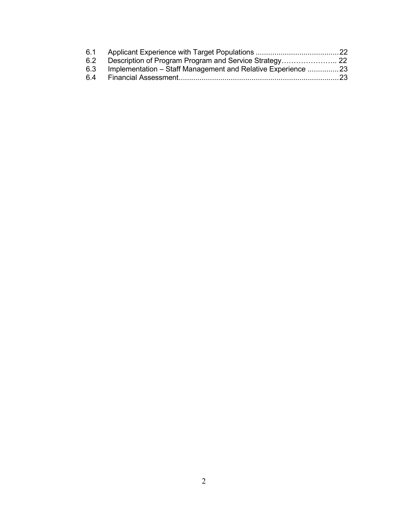| 6.1 |                                                              |  |
|-----|--------------------------------------------------------------|--|
| 6.2 |                                                              |  |
| 6.3 | Implementation - Staff Management and Relative Experience 23 |  |
|     |                                                              |  |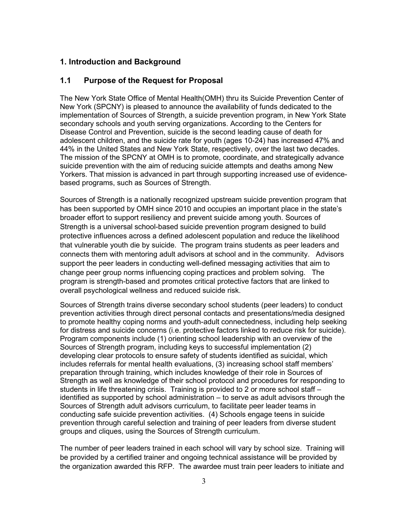## **1. Introduction and Background**

## **1.1 Purpose of the Request for Proposal**

The New York State Office of Mental Health(OMH) thru its Suicide Prevention Center of New York (SPCNY) is pleased to announce the availability of funds dedicated to the implementation of Sources of Strength, a suicide prevention program, in New York State secondary schools and youth serving organizations. According to the Centers for Disease Control and Prevention, suicide is the second leading cause of death for adolescent children, and the suicide rate for youth (ages 10-24) has increased 47% and 44% in the United States and New York State, respectively, over the last two decades. The mission of the SPCNY at OMH is to promote, coordinate, and strategically advance suicide prevention with the aim of reducing suicide attempts and deaths among New Yorkers. That mission is advanced in part through supporting increased use of evidencebased programs, such as Sources of Strength.

Sources of Strength is a nationally recognized upstream suicide prevention program that has been supported by OMH since 2010 and occupies an important place in the state's broader effort to support resiliency and prevent suicide among youth. Sources of Strength is a universal school-based suicide prevention program designed to build protective influences across a defined adolescent population and reduce the likelihood that vulnerable youth die by suicide. The program trains students as peer leaders and connects them with mentoring adult advisors at school and in the community. Advisors support the peer leaders in conducting well-defined messaging activities that aim to change peer group norms influencing coping practices and problem solving. The program is strength-based and promotes critical protective factors that are linked to overall psychological wellness and reduced suicide risk.

Sources of Strength trains diverse secondary school students (peer leaders) to conduct prevention activities through direct personal contacts and presentations/media designed to promote healthy coping norms and youth-adult connectedness, including help seeking for distress and suicide concerns (i.e. protective factors linked to reduce risk for suicide). Program components include (1) orienting school leadership with an overview of the Sources of Strength program, including keys to successful implementation (2) developing clear protocols to ensure safety of students identified as suicidal, which includes referrals for mental health evaluations, (3) increasing school staff members' preparation through training, which includes knowledge of their role in Sources of Strength as well as knowledge of their school protocol and procedures for responding to students in life threatening crisis. Training is provided to 2 or more school staff – identified as supported by school administration – to serve as adult advisors through the Sources of Strength adult advisors curriculum, to facilitate peer leader teams in conducting safe suicide prevention activities. (4) Schools engage teens in suicide prevention through careful selection and training of peer leaders from diverse student groups and cliques, using the Sources of Strength curriculum.

The number of peer leaders trained in each school will vary by school size. Training will be provided by a certified trainer and ongoing technical assistance will be provided by the organization awarded this RFP. The awardee must train peer leaders to initiate and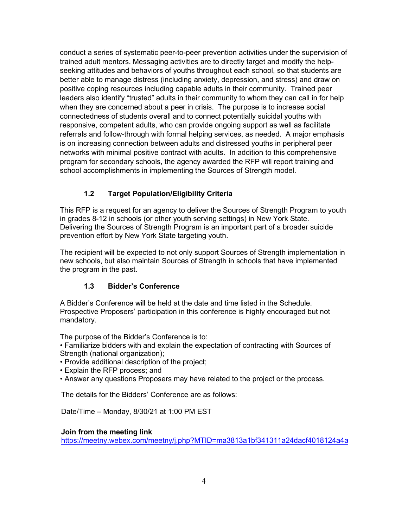conduct a series of systematic peer-to-peer prevention activities under the supervision of trained adult mentors. Messaging activities are to directly target and modify the helpseeking attitudes and behaviors of youths throughout each school, so that students are better able to manage distress (including anxiety, depression, and stress) and draw on positive coping resources including capable adults in their community. Trained peer leaders also identify "trusted" adults in their community to whom they can call in for help when they are concerned about a peer in crisis. The purpose is to increase social connectedness of students overall and to connect potentially suicidal youths with responsive, competent adults, who can provide ongoing support as well as facilitate referrals and follow-through with formal helping services, as needed. A major emphasis is on increasing connection between adults and distressed youths in peripheral peer networks with minimal positive contract with adults. In addition to this comprehensive program for secondary schools, the agency awarded the RFP will report training and school accomplishments in implementing the Sources of Strength model.

# **1.2 Target Population/Eligibility Criteria**

This RFP is a request for an agency to deliver the Sources of Strength Program to youth in grades 8-12 in schools (or other youth serving settings) in New York State. Delivering the Sources of Strength Program is an important part of a broader suicide prevention effort by New York State targeting youth.

The recipient will be expected to not only support Sources of Strength implementation in new schools, but also maintain Sources of Strength in schools that have implemented the program in the past.

## **1.3 Bidder's Conference**

A Bidder's Conference will be held at the date and time listed in the Schedule. Prospective Proposers' participation in this conference is highly encouraged but not mandatory.

The purpose of the Bidder's Conference is to:

• Familiarize bidders with and explain the expectation of contracting with Sources of Strength (national organization);

- Provide additional description of the project;
- Explain the RFP process; and
- Answer any questions Proposers may have related to the project or the process.

The details for the Bidders' Conference are as follows:

Date/Time – Monday, 8/30/21 at 1:00 PM EST

## **Join from the meeting link**

<https://meetny.webex.com/meetny/j.php?MTID=ma3813a1bf341311a24dacf4018124a4a>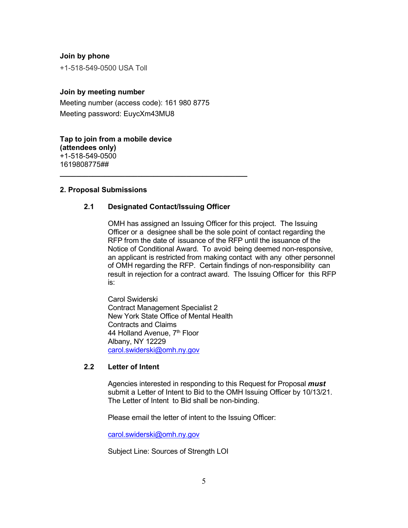### **Join by phone**

+1-518-549-0500 USA Toll

## **Join by meeting number**

Meeting number (access code): 161 980 8775 Meeting password: EuycXm43MU8

**Tap to join from a mobile device (attendees only)** +1-518-549-0500 1619808775##

#### **2. Proposal Submissions**

## **2.1 Designated Contact/Issuing Officer**

**\_\_\_\_\_\_\_\_\_\_\_\_\_\_\_\_\_\_\_\_\_\_\_\_\_\_\_\_\_\_\_\_\_\_\_\_\_\_\_\_\_\_\_\_\_\_**

OMH has assigned an Issuing Officer for this project. The Issuing Officer or a designee shall be the sole point of contact regarding the RFP from the date of issuance of the RFP until the issuance of the Notice of Conditional Award. To avoid being deemed non-responsive, an applicant is restricted from making contact with any other personnel of OMH regarding the RFP. Certain findings of non-responsibility can result in rejection for a contract award. The Issuing Officer for this RFP is:

Carol Swiderski Contract Management Specialist 2 New York State Office of Mental Health Contracts and Claims 44 Holland Avenue, 7<sup>th</sup> Floor Albany, NY 12229 [carol.swiderski@omh.ny.gov](mailto:carol.swiderski@omh.ny.gov)

## **2.2 Letter of Intent**

Agencies interested in responding to this Request for Proposal *must* submit a Letter of Intent to Bid to the OMH Issuing Officer by 10/13/21. The Letter of Intent to Bid shall be non-binding.

Please email the letter of intent to the Issuing Officer:

[carol.swiderski@omh.ny.gov](mailto:carol.swiderski@omh.ny.gov)

Subject Line: Sources of Strength LOI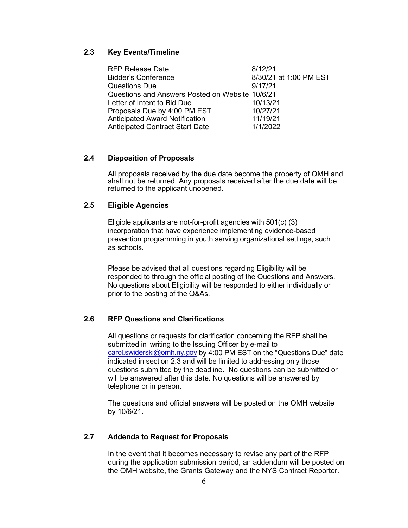## **2.3 Key Events/Timeline**

| 8/12/21                                         |
|-------------------------------------------------|
| 8/30/21 at 1:00 PM EST                          |
| 9/17/21                                         |
| Questions and Answers Posted on Website 10/6/21 |
| 10/13/21                                        |
| 10/27/21                                        |
| 11/19/21                                        |
| 1/1/2022                                        |
|                                                 |

## **2.4 Disposition of Proposals**

All proposals received by the due date become the property of OMH and shall not be returned. Any proposals received after the due date will be returned to the applicant unopened.

## **2.5 Eligible Agencies**

.

Eligible applicants are not-for-profit agencies with 501(c) (3) incorporation that have experience implementing evidence-based prevention programming in youth serving organizational settings, such as schools.

Please be advised that all questions regarding Eligibility will be responded to through the official posting of the Questions and Answers. No questions about Eligibility will be responded to either individually or prior to the posting of the Q&As.

#### **2.6 RFP Questions and Clarifications**

All questions or requests for clarification concerning the RFP shall be submitted in writing to the Issuing Officer by e-mail to [carol.swiderski@omh.ny.gov](mailto:carol.swiderski@omh.ny.gov) by 4:00 PM EST on the "Questions Due" date indicated in section 2.3 and will be limited to addressing only those questions submitted by the deadline. No questions can be submitted or will be answered after this date. No questions will be answered by telephone or in person.

The questions and official answers will be posted on the OMH website by 10/6/21.

## **2.7 Addenda to Request for Proposals**

In the event that it becomes necessary to revise any part of the RFP during the application submission period, an addendum will be posted on the OMH website, the Grants Gateway and the NYS Contract Reporter.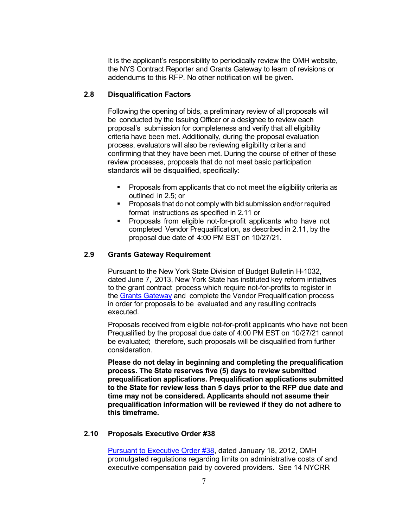It is the applicant's responsibility to periodically review the OMH website, the NYS Contract Reporter and Grants Gateway to learn of revisions or addendums to this RFP. No other notification will be given.

#### **2.8 Disqualification Factors**

Following the opening of bids, a preliminary review of all proposals will be conducted by the Issuing Officer or a designee to review each proposal's submission for completeness and verify that all eligibility criteria have been met. Additionally, during the proposal evaluation process, evaluators will also be reviewing eligibility criteria and confirming that they have been met. During the course of either of these review processes, proposals that do not meet basic participation standards will be disqualified, specifically:

- **Proposals from applicants that do not meet the eligibility criteria as** outlined in 2.5; or
- **Proposals that do not comply with bid submission and/or required** format instructions as specified in 2.11 or
- **Proposals from eligible not-for-profit applicants who have not** completed Vendor Prequalification, as described in 2.11, by the proposal due date of 4:00 PM EST on 10/27/21.

### **2.9 Grants Gateway Requirement**

Pursuant to the New York State Division of Budget Bulletin H-1032, dated June 7, 2013, New York State has instituted key reform initiatives to the grant contract process which require not-for-profits to register in the Grants [Gateway](https://grantsreform.ny.gov/) and complete the Vendor Prequalification process in order for proposals to be evaluated and any resulting contracts executed.

Proposals received from eligible not-for-profit applicants who have not been Prequalified by the proposal due date of 4:00 PM EST on 10/27/21 cannot be evaluated; therefore, such proposals will be disqualified from further consideration.

**Please do not delay in beginning and completing the prequalification process. The State reserves five (5) days to review submitted prequalification applications. Prequalification applications submitted to the State for review less than 5 days prior to the RFP due date and time may not be considered. Applicants should not assume their prequalification information will be reviewed if they do not adhere to this timeframe.** 

#### **2.10 Proposals Executive Order #38**

[Pursuant to Executive Order #38,](http://www.governor.ny.gov/news/no-38-limits-state-funded-administrative-costs-executive-compensation) dated January 18, 2012, OMH promulgated regulations regarding limits on administrative costs of and executive compensation paid by covered providers. See 14 NYCRR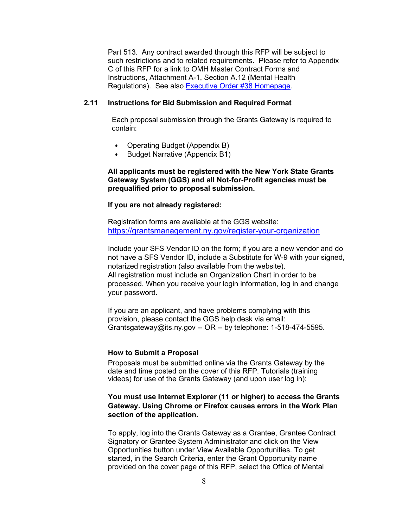Part 513. Any contract awarded through this RFP will be subject to such restrictions and to related requirements. Please refer to Appendix C of this RFP for a link to OMH Master Contract Forms and Instructions, Attachment A-1, Section A.12 (Mental Health Regulations). See also [Executive Order #38 Homepage.](https://executiveorder38.ny.gov/)

## **2.11 Instructions for Bid Submission and Required Format**

Each proposal submission through the Grants Gateway is required to contain:

- Operating Budget (Appendix B)
- Budget Narrative (Appendix B1)

## **All applicants must be registered with the New York State Grants Gateway System (GGS) and all Not-for-Profit agencies must be prequalified prior to proposal submission.**

#### **If you are not already registered:**

Registration forms are available at the GGS website: <https://grantsmanagement.ny.gov/register-your-organization>

Include your SFS Vendor ID on the form; if you are a new vendor and do not have a SFS Vendor ID, include a Substitute for W-9 with your signed, notarized registration (also available from the website). All registration must include an Organization Chart in order to be processed. When you receive your login information, log in and change your password.

If you are an applicant, and have problems complying with this provision, please contact the GGS help desk via email: Grantsgateway@its.ny.gov -- OR -- by telephone: 1-518-474-5595.

#### **How to Submit a Proposal**

Proposals must be submitted online via the Grants Gateway by the date and time posted on the cover of this RFP. Tutorials (training videos) for use of the Grants Gateway (and upon user log in):

## **You must use Internet Explorer (11 or higher) to access the Grants Gateway. Using Chrome or Firefox causes errors in the Work Plan section of the application.**

To apply, log into the Grants Gateway as a Grantee, Grantee Contract Signatory or Grantee System Administrator and click on the View Opportunities button under View Available Opportunities. To get started, in the Search Criteria, enter the Grant Opportunity name provided on the cover page of this RFP, select the Office of Mental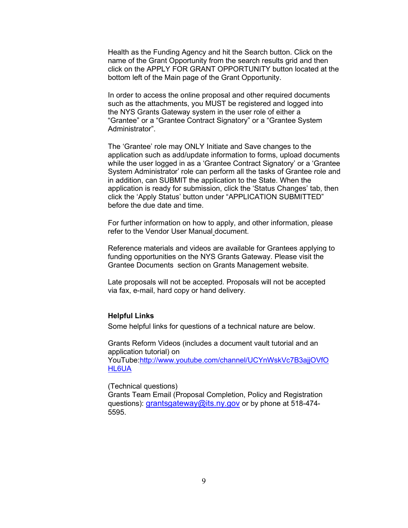Health as the Funding Agency and hit the Search button. Click on the name of the Grant Opportunity from the search results grid and then click on the APPLY FOR GRANT OPPORTUNITY button located at the bottom left of the Main page of the Grant Opportunity.

In order to access the online proposal and other required documents such as the attachments, you MUST be registered and logged into the NYS Grants Gateway system in the user role of either a "Grantee" or a "Grantee Contract Signatory" or a "Grantee System Administrator".

The 'Grantee' role may ONLY Initiate and Save changes to the application such as add/update information to forms, upload documents while the user logged in as a 'Grantee Contract Signatory' or a 'Grantee System Administrator' role can perform all the tasks of Grantee role and in addition, can SUBMIT the application to the State. When the application is ready for submission, click the 'Status Changes' tab, then click the 'Apply Status' button under "APPLICATION SUBMITTED" before the due date and time.

For further information on how to apply, and other information, please refer to the Vendor User Manual document.

Reference materials and videos are available for Grantees applying to funding opportunities on the NYS Grants Gateway. Please visit the [Grantee Documents](https://grantsmanagement.ny.gov/grantee-documents) section on Grants Management website.

Late proposals will not be accepted. Proposals will not be accepted via fax, e-mail, hard copy or hand delivery.

### **Helpful Links**

Some helpful links for questions of a technical nature are below.

Grants Reform Videos (includes a document vault tutorial and an application tutorial) on YouTube[:http://www.youtube.com/channel/UCYnWskVc7B3ajjOVfO](http://www.youtube.com/channel/UCYnWskVc7B3ajjOVfOHL6UA) [HL6UA](http://www.youtube.com/channel/UCYnWskVc7B3ajjOVfOHL6UA) 

(Technical questions)

Grants Team Email (Proposal Completion, Policy and Registration questions): [grantsgateway@its.ny.gov](mailto:grantsgateway@its.ny.gov) or by phone at 518-474-5595.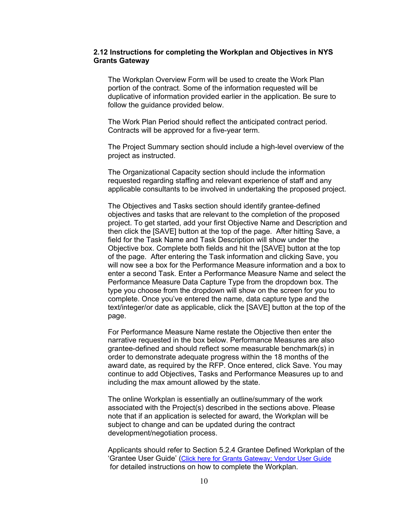#### **2.12 Instructions for completing the Workplan and Objectives in NYS Grants Gateway**

The Workplan Overview Form will be used to create the Work Plan portion of the contract. Some of the information requested will be duplicative of information provided earlier in the application. Be sure to follow the guidance provided below.

The Work Plan Period should reflect the anticipated contract period. Contracts will be approved for a five-year term.

The Project Summary section should include a high-level overview of the project as instructed.

The Organizational Capacity section should include the information requested regarding staffing and relevant experience of staff and any applicable consultants to be involved in undertaking the proposed project.

The Objectives and Tasks section should identify grantee-defined objectives and tasks that are relevant to the completion of the proposed project. To get started, add your first Objective Name and Description and then click the [SAVE] button at the top of the page. After hitting Save, a field for the Task Name and Task Description will show under the Objective box. Complete both fields and hit the [SAVE] button at the top of the page. After entering the Task information and clicking Save, you will now see a box for the Performance Measure information and a box to enter a second Task. Enter a Performance Measure Name and select the Performance Measure Data Capture Type from the dropdown box. The type you choose from the dropdown will show on the screen for you to complete. Once you've entered the name, data capture type and the text/integer/or date as applicable, click the [SAVE] button at the top of the page.

For Performance Measure Name restate the Objective then enter the narrative requested in the box below. Performance Measures are also grantee-defined and should reflect some measurable benchmark(s) in order to demonstrate adequate progress within the 18 months of the award date, as required by the RFP. Once entered, click Save. You may continue to add Objectives, Tasks and Performance Measures up to and including the max amount allowed by the state.

The online Workplan is essentially an outline/summary of the work associated with the Project(s) described in the sections above. Please note that if an application is selected for award, the Workplan will be subject to change and can be updated during the contract development/negotiation process.

Applicants should refer to Section 5.2.4 Grantee Defined Workplan of the 'Grantee User Guide' [\(Click here for Grants Gateway: Vendor User Guide](https://grantsmanagement.ny.gov/system/files/documents/2020/05/vendor-user-manual-3.2-5.7.20.pdf) for detailed instructions on how to complete the Workplan.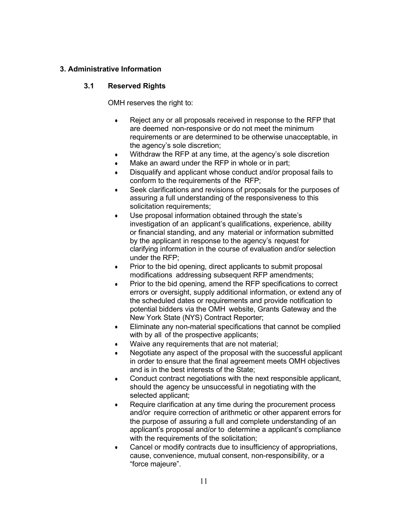## **3. Administrative Information**

## **3.1 Reserved Rights**

OMH reserves the right to:

- Reject any or all proposals received in response to the RFP that are deemed non-responsive or do not meet the minimum requirements or are determined to be otherwise unacceptable, in the agency's sole discretion;
- Withdraw the RFP at any time, at the agency's sole discretion
- Make an award under the RFP in whole or in part;
- Disqualify and applicant whose conduct and/or proposal fails to conform to the requirements of the RFP;
- Seek clarifications and revisions of proposals for the purposes of assuring a full understanding of the responsiveness to this solicitation requirements;
- Use proposal information obtained through the state's investigation of an applicant's qualifications, experience, ability or financial standing, and any material or information submitted by the applicant in response to the agency's request for clarifying information in the course of evaluation and/or selection under the RFP;
- Prior to the bid opening, direct applicants to submit proposal modifications addressing subsequent RFP amendments;
- Prior to the bid opening, amend the RFP specifications to correct errors or oversight, supply additional information, or extend any of the scheduled dates or requirements and provide notification to potential bidders via the OMH website, Grants Gateway and the New York State (NYS) Contract Reporter;
- Eliminate any non-material specifications that cannot be complied with by all of the prospective applicants;
- Waive any requirements that are not material;
- Negotiate any aspect of the proposal with the successful applicant in order to ensure that the final agreement meets OMH objectives and is in the best interests of the State;
- Conduct contract negotiations with the next responsible applicant, should the agency be unsuccessful in negotiating with the selected applicant;
- Require clarification at any time during the procurement process and/or require correction of arithmetic or other apparent errors for the purpose of assuring a full and complete understanding of an applicant's proposal and/or to determine a applicant's compliance with the requirements of the solicitation;
- Cancel or modify contracts due to insufficiency of appropriations, cause, convenience, mutual consent, non-responsibility, or a "force majeure".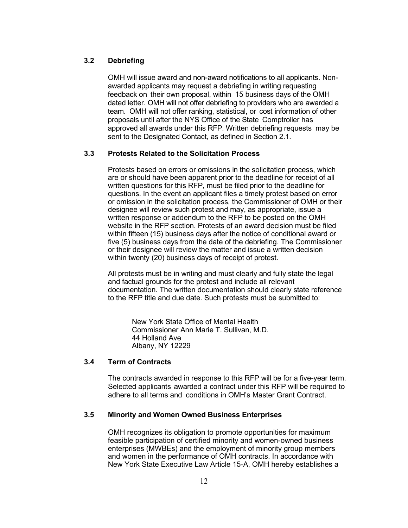## **3.2 Debriefing**

OMH will issue award and non-award notifications to all applicants. Nonawarded applicants may request a debriefing in writing requesting feedback on their own proposal, within 15 business days of the OMH dated letter. OMH will not offer debriefing to providers who are awarded a team. OMH will not offer ranking, statistical, or cost information of other proposals until after the NYS Office of the State Comptroller has approved all awards under this RFP. Written debriefing requests may be sent to the Designated Contact, as defined in Section 2.1.

## **3.3 Protests Related to the Solicitation Process**

Protests based on errors or omissions in the solicitation process, which are or should have been apparent prior to the deadline for receipt of all written questions for this RFP, must be filed prior to the deadline for questions. In the event an applicant files a timely protest based on error or omission in the solicitation process, the Commissioner of OMH or their designee will review such protest and may, as appropriate, issue a written response or addendum to the RFP to be posted on the OMH website in the RFP section. Protests of an award decision must be filed within fifteen (15) business days after the notice of conditional award or five (5) business days from the date of the debriefing. The Commissioner or their designee will review the matter and issue a written decision within twenty (20) business days of receipt of protest.

All protests must be in writing and must clearly and fully state the legal and factual grounds for the protest and include all relevant documentation. The written documentation should clearly state reference to the RFP title and due date. Such protests must be submitted to:

New York State Office of Mental Health Commissioner Ann Marie T. Sullivan, M.D. 44 Holland Ave Albany, NY 12229

## **3.4 Term of Contracts**

The contracts awarded in response to this RFP will be for a five-year term. Selected applicants awarded a contract under this RFP will be required to adhere to all terms and conditions in OMH's Master Grant Contract.

## **3.5 Minority and Women Owned Business Enterprises**

OMH recognizes its obligation to promote opportunities for maximum feasible participation of certified minority and women-owned business enterprises (MWBEs) and the employment of minority group members and women in the performance of OMH contracts. In accordance with New York State Executive Law Article 15-A, OMH hereby establishes a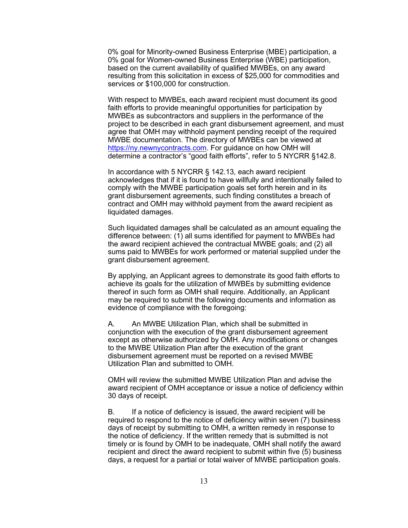0% goal for Minority-owned Business Enterprise (MBE) participation, a 0% goal for Women-owned Business Enterprise (WBE) participation, based on the current availability of qualified MWBEs, on any award resulting from this solicitation in excess of \$25,000 for commodities and services or \$100,000 for construction.

With respect to MWBEs, each award recipient must document its good faith efforts to provide meaningful opportunities for participation by MWBEs as subcontractors and suppliers in the performance of the project to be described in each grant disbursement agreement, and must agree that OMH may withhold payment pending receipt of the required MWBE documentation. The directory of MWBEs can be viewed at [https://ny.newnycontracts.com.](https://ny.newnycontracts.com/) For guidance on how OMH will determine a contractor's "good faith efforts", refer to 5 NYCRR §142.8.

In accordance with 5 NYCRR § 142.13, each award recipient acknowledges that if it is found to have willfully and intentionally failed to comply with the MWBE participation goals set forth herein and in its grant disbursement agreements, such finding constitutes a breach of contract and OMH may withhold payment from the award recipient as liquidated damages.

Such liquidated damages shall be calculated as an amount equaling the difference between: (1) all sums identified for payment to MWBEs had the award recipient achieved the contractual MWBE goals; and (2) all sums paid to MWBEs for work performed or material supplied under the grant disbursement agreement.

By applying, an Applicant agrees to demonstrate its good faith efforts to achieve its goals for the utilization of MWBEs by submitting evidence thereof in such form as OMH shall require. Additionally, an Applicant may be required to submit the following documents and information as evidence of compliance with the foregoing:

A. An MWBE Utilization Plan, which shall be submitted in conjunction with the execution of the grant disbursement agreement except as otherwise authorized by OMH. Any modifications or changes to the MWBE Utilization Plan after the execution of the grant disbursement agreement must be reported on a revised MWBE Utilization Plan and submitted to OMH.

OMH will review the submitted MWBE Utilization Plan and advise the award recipient of OMH acceptance or issue a notice of deficiency within 30 days of receipt.

B. If a notice of deficiency is issued, the award recipient will be required to respond to the notice of deficiency within seven (7) business days of receipt by submitting to OMH, a written remedy in response to the notice of deficiency. If the written remedy that is submitted is not timely or is found by OMH to be inadequate, OMH shall notify the award recipient and direct the award recipient to submit within five (5) business days, a request for a partial or total waiver of MWBE participation goals.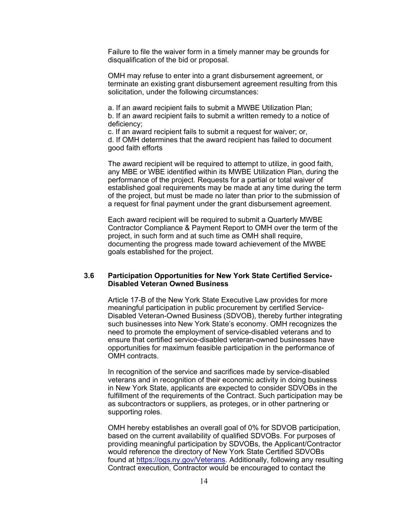Failure to file the waiver form in a timely manner may be grounds for disqualification of the bid or proposal.

OMH may refuse to enter into a grant disbursement agreement, or terminate an existing grant disbursement agreement resulting from this solicitation, under the following circumstances:

a. If an award recipient fails to submit a MWBE Utilization Plan; b. If an award recipient fails to submit a written remedy to a notice of deficiency;

c. If an award recipient fails to submit a request for waiver; or, d. If OMH determines that the award recipient has failed to document good faith efforts

The award recipient will be required to attempt to utilize, in good faith, any MBE or WBE identified within its MWBE Utilization Plan, during the performance of the project. Requests for a partial or total waiver of established goal requirements may be made at any time during the term of the project, but must be made no later than prior to the submission of a request for final payment under the grant disbursement agreement.

Each award recipient will be required to submit a Quarterly MWBE Contractor Compliance & Payment Report to OMH over the term of the project, in such form and at such time as OMH shall require, documenting the progress made toward achievement of the MWBE goals established for the project.

#### **3.6 Participation Opportunities for New York State Certified Service-Disabled Veteran Owned Business**

Article 17-B of the New York State Executive Law provides for more meaningful participation in public procurement by certified Service-Disabled Veteran-Owned Business (SDVOB), thereby further integrating such businesses into New York State's economy. OMH recognizes the need to promote the employment of service-disabled veterans and to ensure that certified service-disabled veteran-owned businesses have opportunities for maximum feasible participation in the performance of OMH contracts.

In recognition of the service and sacrifices made by service-disabled veterans and in recognition of their economic activity in doing business in New York State, applicants are expected to consider SDVOBs in the fulfillment of the requirements of the Contract. Such participation may be as subcontractors or suppliers, as proteges, or in other partnering or supporting roles.

OMH hereby establishes an overall goal of 0% for SDVOB participation, based on the current availability of qualified SDVOBs. For purposes of providing meaningful participation by SDVOBs, the Applicant/Contractor would reference the directory of New York State Certified SDVOBs found at [https://ogs.ny.gov/Veterans.](https://ogs.ny.gov/Veterans) Additionally, following any resulting Contract execution, Contractor would be encouraged to contact the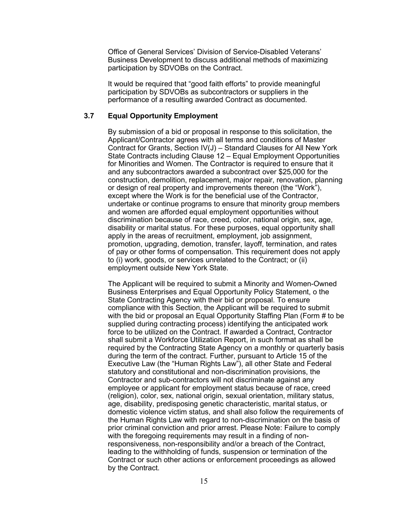Office of General Services' Division of Service-Disabled Veterans' Business Development to discuss additional methods of maximizing participation by SDVOBs on the Contract.

It would be required that "good faith efforts" to provide meaningful participation by SDVOBs as subcontractors or suppliers in the performance of a resulting awarded Contract as documented.

### **3.7 Equal Opportunity Employment**

By submission of a bid or proposal in response to this solicitation, the Applicant/Contractor agrees with all terms and conditions of Master Contract for Grants, Section IV(J) – Standard Clauses for All New York State Contracts including Clause 12 – Equal Employment Opportunities for Minorities and Women. The Contractor is required to ensure that it and any subcontractors awarded a subcontract over \$25,000 for the construction, demolition, replacement, major repair, renovation, planning or design of real property and improvements thereon (the "Work"), except where the Work is for the beneficial use of the Contractor, undertake or continue programs to ensure that minority group members and women are afforded equal employment opportunities without discrimination because of race, creed, color, national origin, sex, age, disability or marital status. For these purposes, equal opportunity shall apply in the areas of recruitment, employment, job assignment, promotion, upgrading, demotion, transfer, layoff, termination, and rates of pay or other forms of compensation. This requirement does not apply to (i) work, goods, or services unrelated to the Contract; or (ii) employment outside New York State.

The Applicant will be required to submit a Minority and Women-Owned Business Enterprises and Equal Opportunity Policy Statement, o the State Contracting Agency with their bid or proposal. To ensure compliance with this Section, the Applicant will be required to submit with the bid or proposal an Equal Opportunity Staffing Plan (Form # to be supplied during contracting process) identifying the anticipated work force to be utilized on the Contract. If awarded a Contract, Contractor shall submit a Workforce Utilization Report, in such format as shall be required by the Contracting State Agency on a monthly or quarterly basis during the term of the contract. Further, pursuant to Article 15 of the Executive Law (the "Human Rights Law"), all other State and Federal statutory and constitutional and non-discrimination provisions, the Contractor and sub-contractors will not discriminate against any employee or applicant for employment status because of race, creed (religion), color, sex, national origin, sexual orientation, military status, age, disability, predisposing genetic characteristic, marital status, or domestic violence victim status, and shall also follow the requirements of the Human Rights Law with regard to non-discrimination on the basis of prior criminal conviction and prior arrest. Please Note: Failure to comply with the foregoing requirements may result in a finding of nonresponsiveness, non-responsibility and/or a breach of the Contract, leading to the withholding of funds, suspension or termination of the Contract or such other actions or enforcement proceedings as allowed by the Contract.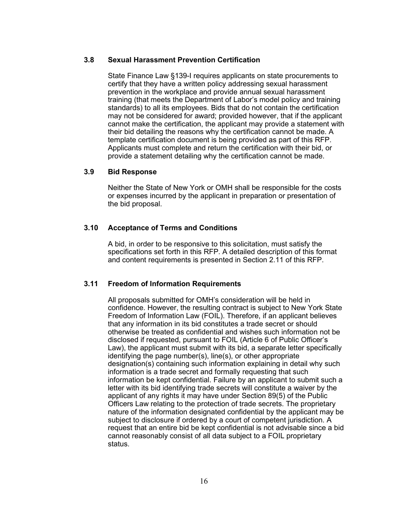#### **3.8 Sexual Harassment Prevention Certification**

State Finance Law §139-I requires applicants on state procurements to certify that they have a written policy addressing sexual harassment prevention in the workplace and provide annual sexual harassment training (that meets the Department of Labor's model policy and training standards) to all its employees. Bids that do not contain the certification may not be considered for award; provided however, that if the applicant cannot make the certification, the applicant may provide a statement with their bid detailing the reasons why the certification cannot be made. A template certification document is being provided as part of this RFP. Applicants must complete and return the certification with their bid, or provide a statement detailing why the certification cannot be made.

#### **3.9 Bid Response**

Neither the State of New York or OMH shall be responsible for the costs or expenses incurred by the applicant in preparation or presentation of the bid proposal.

#### **3.10 Acceptance of Terms and Conditions**

A bid, in order to be responsive to this solicitation, must satisfy the specifications set forth in this RFP. A detailed description of this format and content requirements is presented in Section 2.11 of this RFP.

#### **3.11 Freedom of Information Requirements**

All proposals submitted for OMH's consideration will be held in confidence. However, the resulting contract is subject to New York State Freedom of Information Law (FOIL). Therefore, if an applicant believes that any information in its bid constitutes a trade secret or should otherwise be treated as confidential and wishes such information not be disclosed if requested, pursuant to FOIL (Article 6 of Public Officer's Law), the applicant must submit with its bid, a separate letter specifically identifying the page number(s), line(s), or other appropriate designation(s) containing such information explaining in detail why such information is a trade secret and formally requesting that such information be kept confidential. Failure by an applicant to submit such a letter with its bid identifying trade secrets will constitute a waiver by the applicant of any rights it may have under Section 89(5) of the Public Officers Law relating to the protection of trade secrets. The proprietary nature of the information designated confidential by the applicant may be subject to disclosure if ordered by a court of competent jurisdiction. A request that an entire bid be kept confidential is not advisable since a bid cannot reasonably consist of all data subject to a FOIL proprietary status.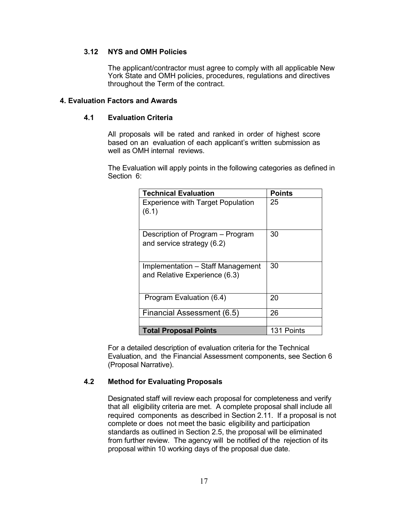## **3.12 NYS and OMH Policies**

The applicant/contractor must agree to comply with all applicable New York State and OMH policies, procedures, regulations and directives throughout the Term of the contract.

#### **4. Evaluation Factors and Awards**

## **4.1 Evaluation Criteria**

All proposals will be rated and ranked in order of highest score based on an evaluation of each applicant's written submission as well as OMH internal reviews.

The Evaluation will apply points in the following categories as defined in Section 6:

| <b>Technical Evaluation</b>              | <b>Points</b> |
|------------------------------------------|---------------|
| <b>Experience with Target Population</b> | 25            |
| (6.1)                                    |               |
| Description of Program – Program         | 30            |
| and service strategy (6.2)               |               |
|                                          |               |
| Implementation – Staff Management        | 30            |
| and Relative Experience (6.3)            |               |
|                                          |               |
| Program Evaluation (6.4)                 | 20            |
| Financial Assessment (6.5)               | 26            |
|                                          |               |
| <b>Total Proposal Points</b>             | 131 Points    |

For a detailed description of evaluation criteria for the Technical Evaluation, and the Financial Assessment components, see Section 6 (Proposal Narrative).

## **4.2 Method for Evaluating Proposals**

Designated staff will review each proposal for completeness and verify that all eligibility criteria are met. A complete proposal shall include all required components as described in Section 2.11. If a proposal is not complete or does not meet the basic eligibility and participation standards as outlined in Section 2.5, the proposal will be eliminated from further review. The agency will be notified of the rejection of its proposal within 10 working days of the proposal due date.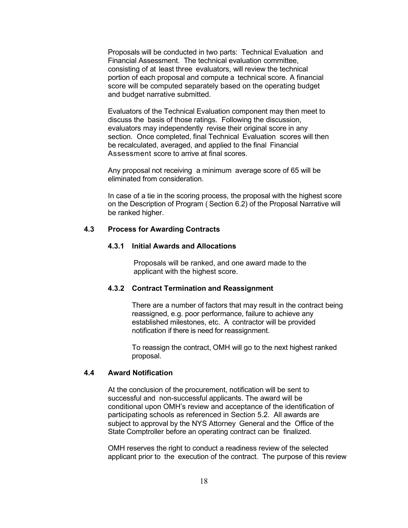Proposals will be conducted in two parts: Technical Evaluation and Financial Assessment. The technical evaluation committee, consisting of at least three evaluators, will review the technical portion of each proposal and compute a technical score. A financial score will be computed separately based on the operating budget and budget narrative submitted.

Evaluators of the Technical Evaluation component may then meet to discuss the basis of those ratings. Following the discussion, evaluators may independently revise their original score in any section. Once completed, final Technical Evaluation scores will then be recalculated, averaged, and applied to the final Financial Assessment score to arrive at final scores.

Any proposal not receiving a minimum average score of 65 will be eliminated from consideration.

In case of a tie in the scoring process, the proposal with the highest score on the Description of Program ( Section 6.2) of the Proposal Narrative will be ranked higher.

## **4.3 Process for Awarding Contracts**

## **4.3.1 Initial Awards and Allocations**

Proposals will be ranked, and one award made to the applicant with the highest score.

#### **4.3.2 Contract Termination and Reassignment**

There are a number of factors that may result in the contract being reassigned, e.g. poor performance, failure to achieve any established milestones, etc. A contractor will be provided notification if there is need for reassignment.

To reassign the contract, OMH will go to the next highest ranked proposal.

## **4.4 Award Notification**

At the conclusion of the procurement, notification will be sent to successful and non-successful applicants. The award will be conditional upon OMH's review and acceptance of the identification of participating schools as referenced in Section 5.2. All awards are subject to approval by the NYS Attorney General and the Office of the State Comptroller before an operating contract can be finalized.

OMH reserves the right to conduct a readiness review of the selected applicant prior to the execution of the contract. The purpose of this review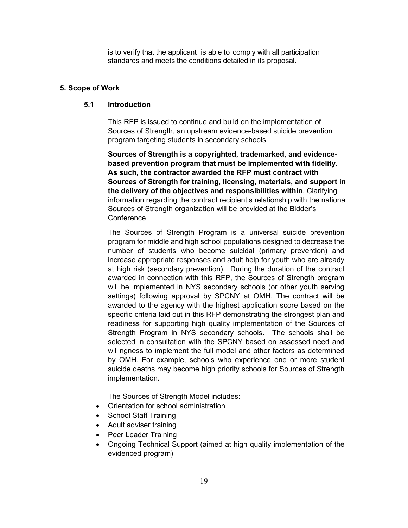is to verify that the applicant is able to comply with all participation standards and meets the conditions detailed in its proposal.

### **5. Scope of Work**

#### **5.1 Introduction**

This RFP is issued to continue and build on the implementation of Sources of Strength, an upstream evidence-based suicide prevention program targeting students in secondary schools.

**Sources of Strength is a copyrighted, trademarked, and evidencebased prevention program that must be implemented with fidelity. As such, the contractor awarded the RFP must contract with Sources of Strength for training, licensing, materials, and support in the delivery of the objectives and responsibilities within**. Clarifying information regarding the contract recipient's relationship with the national Sources of Strength organization will be provided at the Bidder's **Conference** 

The Sources of Strength Program is a universal suicide prevention program for middle and high school populations designed to decrease the number of students who become suicidal (primary prevention) and increase appropriate responses and adult help for youth who are already at high risk (secondary prevention). During the duration of the contract awarded in connection with this RFP, the Sources of Strength program will be implemented in NYS secondary schools (or other youth serving settings) following approval by SPCNY at OMH. The contract will be awarded to the agency with the highest application score based on the specific criteria laid out in this RFP demonstrating the strongest plan and readiness for supporting high quality implementation of the Sources of Strength Program in NYS secondary schools. The schools shall be selected in consultation with the SPCNY based on assessed need and willingness to implement the full model and other factors as determined by OMH. For example, schools who experience one or more student suicide deaths may become high priority schools for Sources of Strength implementation.

The Sources of Strength Model includes:

- Orientation for school administration
- School Staff Training
- Adult adviser training
- Peer Leader Training
- Ongoing Technical Support (aimed at high quality implementation of the evidenced program)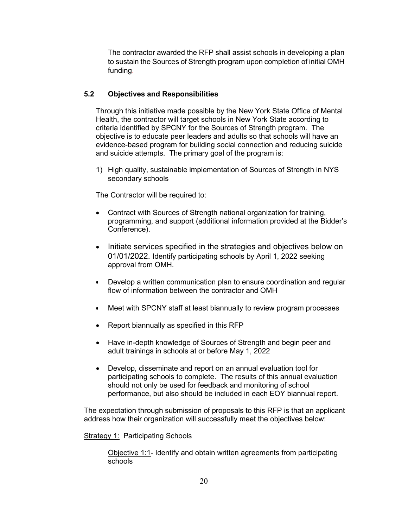The contractor awarded the RFP shall assist schools in developing a plan to sustain the Sources of Strength program upon completion of initial OMH funding.

## **5.2 Objectives and Responsibilities**

Through this initiative made possible by the New York State Office of Mental Health, the contractor will target schools in New York State according to criteria identified by SPCNY for the Sources of Strength program. The objective is to educate peer leaders and adults so that schools will have an evidence-based program for building social connection and reducing suicide and suicide attempts. The primary goal of the program is:

1) High quality, sustainable implementation of Sources of Strength in NYS secondary schools

The Contractor will be required to:

- Contract with Sources of Strength national organization for training, programming, and support (additional information provided at the Bidder's Conference).
- Initiate services specified in the strategies and objectives below on 01/01/2022. Identify participating schools by April 1, 2022 seeking approval from OMH.
- Develop a written communication plan to ensure coordination and regular flow of information between the contractor and OMH
- Meet with SPCNY staff at least biannually to review program processes
- Report biannually as specified in this RFP
- Have in-depth knowledge of Sources of Strength and begin peer and adult trainings in schools at or before May 1, 2022
- Develop, disseminate and report on an annual evaluation tool for participating schools to complete. The results of this annual evaluation should not only be used for feedback and monitoring of school performance, but also should be included in each EOY biannual report.

The expectation through submission of proposals to this RFP is that an applicant address how their organization will successfully meet the objectives below:

**Strategy 1: Participating Schools** 

Objective 1:1- Identify and obtain written agreements from participating schools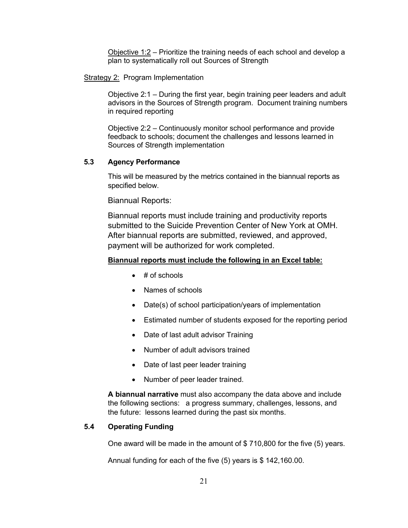Objective 1:2 – Prioritize the training needs of each school and develop a plan to systematically roll out Sources of Strength

#### Strategy 2: Program Implementation

Objective 2:1 – During the first year, begin training peer leaders and adult advisors in the Sources of Strength program. Document training numbers in required reporting

Objective 2:2 – Continuously monitor school performance and provide feedback to schools; document the challenges and lessons learned in Sources of Strength implementation

## **5.3 Agency Performance**

This will be measured by the metrics contained in the biannual reports as specified below.

Biannual Reports:

Biannual reports must include training and productivity reports submitted to the Suicide Prevention Center of New York at OMH. After biannual reports are submitted, reviewed, and approved, payment will be authorized for work completed.

#### **Biannual reports must include the following in an Excel table:**

- $\bullet$  # of schools
- Names of schools
- Date(s) of school participation/years of implementation
- Estimated number of students exposed for the reporting period
- Date of last adult advisor Training
- Number of adult advisors trained
- Date of last peer leader training
- Number of peer leader trained.

**A biannual narrative** must also accompany the data above and include the following sections: a progress summary, challenges, lessons, and the future: lessons learned during the past six months.

## **5.4 Operating Funding**

One award will be made in the amount of \$ 710,800 for the five (5) years.

Annual funding for each of the five (5) years is \$ 142,160.00.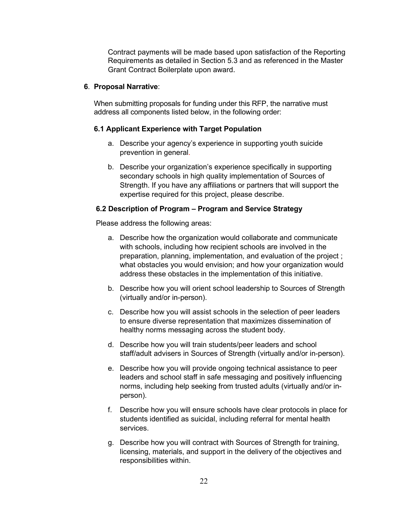Contract payments will be made based upon satisfaction of the Reporting Requirements as detailed in Section 5.3 and as referenced in the Master Grant Contract Boilerplate upon award.

## **6**. **Proposal Narrative**:

When submitting proposals for funding under this RFP, the narrative must address all components listed below, in the following order:

#### **6.1 Applicant Experience with Target Population**

- a. Describe your agency's experience in supporting youth suicide prevention in general.
- b. Describe your organization's experience specifically in supporting secondary schools in high quality implementation of Sources of Strength. If you have any affiliations or partners that will support the expertise required for this project, please describe.

## **6.2 Description of Program – Program and Service Strategy**

Please address the following areas:

- a. Describe how the organization would collaborate and communicate with schools, including how recipient schools are involved in the preparation, planning, implementation, and evaluation of the project ; what obstacles you would envision; and how your organization would address these obstacles in the implementation of this initiative.
- b. Describe how you will orient school leadership to Sources of Strength (virtually and/or in-person).
- c. Describe how you will assist schools in the selection of peer leaders to ensure diverse representation that maximizes dissemination of healthy norms messaging across the student body.
- d. Describe how you will train students/peer leaders and school staff/adult advisers in Sources of Strength (virtually and/or in-person).
- e. Describe how you will provide ongoing technical assistance to peer leaders and school staff in safe messaging and positively influencing norms, including help seeking from trusted adults (virtually and/or inperson).
- f. Describe how you will ensure schools have clear protocols in place for students identified as suicidal, including referral for mental health services.
- g. Describe how you will contract with Sources of Strength for training, licensing, materials, and support in the delivery of the objectives and responsibilities within.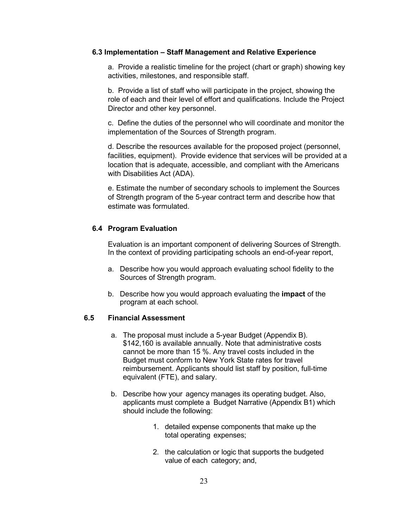#### **6.3 Implementation – Staff Management and Relative Experience**

a. Provide a realistic timeline for the project (chart or graph) showing key activities, milestones, and responsible staff.

b. Provide a list of staff who will participate in the project, showing the role of each and their level of effort and qualifications. Include the Project Director and other key personnel.

c. Define the duties of the personnel who will coordinate and monitor the implementation of the Sources of Strength program.

d. Describe the resources available for the proposed project (personnel, facilities, equipment). Provide evidence that services will be provided at a location that is adequate, accessible, and compliant with the Americans with Disabilities Act (ADA).

e. Estimate the number of secondary schools to implement the Sources of Strength program of the 5-year contract term and describe how that estimate was formulated.

## **6.4 Program Evaluation**

Evaluation is an important component of delivering Sources of Strength. In the context of providing participating schools an end-of-year report,

- a. Describe how you would approach evaluating school fidelity to the Sources of Strength program.
- b. Describe how you would approach evaluating the **impact** of the program at each school.

#### **6.5 Financial Assessment**

- a. The proposal must include a 5-year Budget (Appendix B). \$142,160 is available annually. Note that administrative costs cannot be more than 15 %. Any travel costs included in the Budget must conform to New York State rates for travel reimbursement. Applicants should list staff by position, full-time equivalent (FTE), and salary.
- b. Describe how your agency manages its operating budget. Also, applicants must complete a Budget Narrative (Appendix B1) which should include the following:
	- 1. detailed expense components that make up the total operating expenses;
	- 2. the calculation or logic that supports the budgeted value of each category; and,